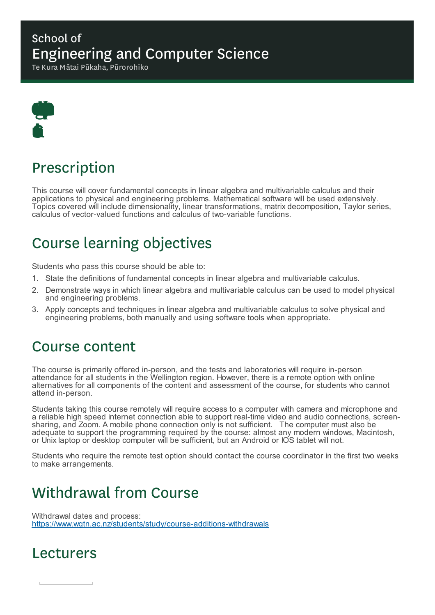### School of Engineering and Computer Science

Te Kura Mātai Pūkaha, Pūrorohiko



## Prescription

This course will cover fundamental concepts in linear algebra and multivariable calculus and their applications to physical and engineering problems. Mathematical software will be used extensively. Topics covered will include dimensionality, linear transformations, matrix decomposition, Taylor series, calculus of vector-valued functions and calculus of two-variable functions.

# Course learning objectives

Students who pass this course should be able to:

- 1. State the definitions of fundamental concepts in linear algebra and multivariable calculus.
- 2. Demonstrate ways in which linear algebra and multivariable calculus can be used to model physical and engineering problems.
- 3. Apply concepts and techniques in linear algebra and multivariable calculus to solve physical and engineering problems, both manually and using software tools when appropriate.

### Course content

The course is primarily offered in-person, and the tests and laboratories will require in-person attendance for all students in the Wellington region. However, there is a remote option with online alternatives for all components of the content and assessment of the course, for students who cannot attend in-person.

Students taking this course remotely will require access to a computer with camera and microphone and a reliable high speed internet connection able to support real-time video and audio connections, screensharing, and Zoom. A mobile phone connection only is not sufficient. The computer must also be adequate to support the programming required by the course: almost any modern windows, Macintosh, or Unix laptop or desktop computer will be sufficient, but an Android or IOS tablet will not.

Students who require the remote test option should contact the course coordinator in the first two weeks to make arrangements.

## Withdrawal from Course

Withdrawal dates and process: https://www.wgtn.ac.nz/students/study/course-additions-withdrawals

### Lecturers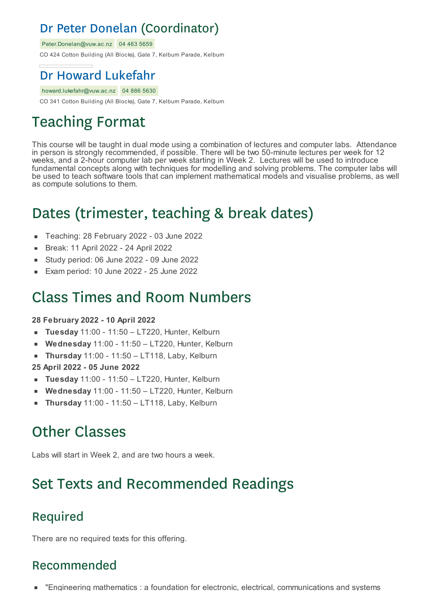### Dr Peter Donelan (Coordinator)

Peter.Donelan@vuw.ac.nz 04 463 5659

CO 424 Cotton Building (All Blocks), Gate 7, Kelburn Parade, Kelburn

### Dr Howard Lukefahr

howard.lukefahr@vuw.ac.nz 04 886 5630 CO 341 Cotton Building (All Blocks), Gate 7, Kelburn Parade, Kelburn

# Teaching Format

This course will be taught in dual mode using a combination of lectures and computer labs. Attendance in person is strongly recommended, if possible. There will be two 50-minute lectures per week for 12 weeks, and a 2-hour computer lab per week starting in Week 2. Lectures will be used to introduce fundamental concepts along with techniques for modelling and solving problems. The computer labs will be used to teach software tools that can implement mathematical models and visualise problems, as well as compute solutions to them.

# Dates (trimester, teaching & break dates)

- Teaching: 28 February 2022 03 June 2022  $\blacksquare$
- Break: 11 April 2022 24 April 2022
- Study period: 06 June 2022 09 June 2022
- Exam period: 10 June 2022 25 June 2022

### Class Times and Room Numbers

#### **28 February 2022 - 10 April 2022**

- **Tuesday** 11:00 11:50 LT220, Hunter, Kelburn
- **Wednesday** 11:00 11:50 LT220, Hunter, Kelburn  $\blacksquare$
- **Thursday** 11:00 11:50 LT118, Laby, Kelburn  $\blacksquare$
- **25 April 2022 - 05 June 2022**
- **Tuesday** 11:00 11:50 LT220, Hunter, Kelburn
- **Wednesday** 11:00 11:50 LT220, Hunter, Kelburn  $\blacksquare$
- **Thursday** 11:00 11:50 LT118, Laby, Kelburn

## Other Classes

Labs will start in Week 2, and are two hours a week.

## Set Texts and Recommended Readings

#### Required

There are no required texts for this offering.

### Recommended

"Engineering mathematics : a foundation for electronic, electrical, communications and systems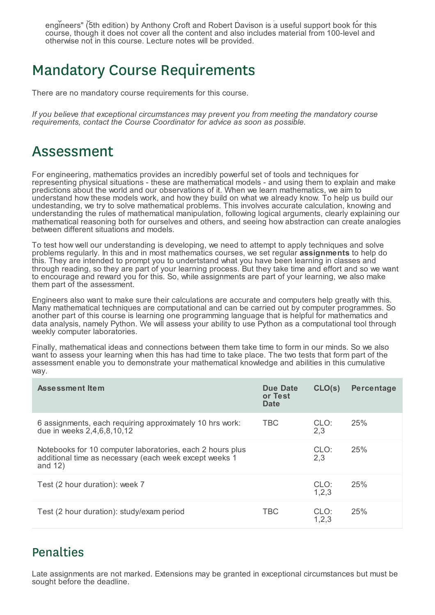"Engineering mathematics : a foundation for electronic, electrical, communications and systems engineers" (5th edition) by Anthony Croft and Robert Davison is a useful support book for this course, though it does not cover all the content and also includes material from 100-level and otherwise not in this course. Lecture notes will be provided.

### Mandatory Course Requirements

There are no mandatory course requirements for this course.

*If you believe that exceptional circumstances may prevent you from meeting the mandatory course requirements, contact the Course Coordinator for advice as soon as possible.*

### Assessment

For engineering, mathematics provides an incredibly powerful set of tools and techniques for representing physical situations - these are mathematical models - and using them to explain and make predictions about the world and our observations of it. When we learn mathematics, we aim to understand how these models work, and how they build on what we already know. To help us build our undestanding, we try to solve mathematical problems. This involves accurate calculation, knowing and understanding the rules of mathematical manipulation, following logical arguments, clearly explaining our mathematical reasoning both for ourselves and others, and seeing how abstraction can create analogies between different situations and models.

To test how well our understanding is developing, we need to attempt to apply techniques and solve problems regularly. In this and in most mathematics courses, we set regular **assignments** to help do this. They are intended to prompt you to undertstand what you have been learning in classes and through reading, so they are part of your learning process. But they take time and effort and so we want to encourage and reward you for this. So, while assignments are part of your learning, we also make them part of the assessment.

Engineers also want to make sure their calculations are accurate and computers help greatly with this. Many mathematical techniques are computational and can be carried out by computer programmes. So another part of this course is learning one programming language that is helpful for mathematics and data analysis, namely Python. We will assess your ability to use Python as a computational tool through weekly computer laboratories.

Finally, mathematical ideas and connections between them take time to form in our minds. So we also want to assess your learning when this has had time to take place. The two tests that form part of the assessment enable you to demonstrate your mathematical knowledge and abilities in this cumulative way.

| <b>Assessment Item</b>                                                                                                           | Due Date<br>or Test<br><b>Date</b> | CLO(s)          | <b>Percentage</b> |
|----------------------------------------------------------------------------------------------------------------------------------|------------------------------------|-----------------|-------------------|
| 6 assignments, each requiring approximately 10 hrs work:<br>due in weeks 2,4,6,8,10,12                                           | TBC                                | CLO:<br>2,3     | 25%               |
| Notebooks for 10 computer laboratories, each 2 hours plus<br>additional time as necessary (each week except weeks 1<br>and $12)$ |                                    | CLO:<br>2,3     | 25%               |
| Test (2 hour duration): week 7                                                                                                   |                                    | CLO:<br>1, 2, 3 | 25%               |
| Test (2 hour duration): study/exam period                                                                                        | <b>TBC</b>                         | CLO:<br>1,2,3   | 25%               |

#### **Penalties**

Late assignments are not marked. Extensions may be granted in exceptional circumstances but must be sought before the deadline.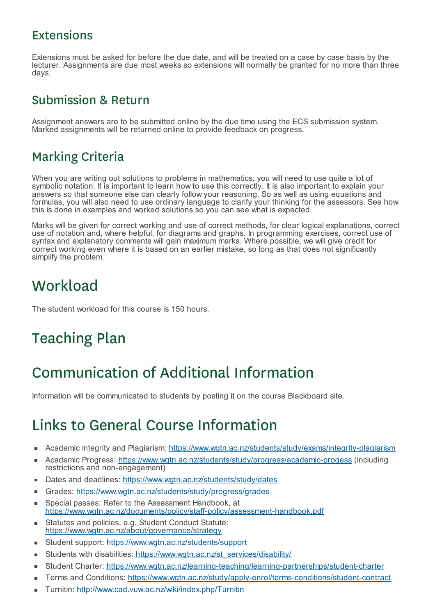#### Extensions

Extensions must be asked for before the due date, and will be treated on a case by case basis by the lecturer. Assignments are due most weeks so extensions will normally be granted for no more than three days.

#### Submission & Return

Assignment answers are to be submitted online by the due time using the ECS submission system. Marked assignments will be returned online to provide feedback on progress.

#### Marking Criteria

When you are writing out solutions to problems in mathematics, you will need to use quite a lot of symbolic notation. It is important to learn how to use this correctly. It is also important to explain your answers so that someone else can clearly follow your reasoning. So as well as using equations and formulas, you will also need to use ordinary language to clarify your thinking for the assessors. See how this is done in examples and worked solutions so you can see what is expected.

Marks will be given for correct working and use of correct methods, for clear logical explanations, correct use of notation and, where helpful, for diagrams and graphs. In programming exercises, correct use of syntax and explanatory comments will gain maximum marks. Where possible, we will give credit for correct working even where it is based on an earlier mistake, so long as that does not significantly simplify the problem.

### **Workload**

The student workload for this course is 150 hours.

# Teaching Plan

# Communication of Additional Information

Information will be communicated to students by posting it on the course Blackboard site.

## Links to General Course Information

- Academic Integrity and Plagiarism: https://www.wgtn.ac.nz/students/study/exams/integrity-plagiarism  $\blacksquare$
- Academic Progress: https://www.wgtn.ac.nz/students/study/progress/academic-progess (including ×. restrictions and non-engagement)
- Dates and deadlines: https://www.wgtn.ac.nz/students/study/dates
- Grades: https://www.wgtn.ac.nz/students/study/progress/grades  $\blacksquare$
- Special passes: Refer to the Assessment Handbook, at × https://www.wgtn.ac.nz/documents/policy/staff-policy/assessment-handbook.pdf
- Statutes and policies, e.g. Student Conduct Statute: https://www.wgtn.ac.nz/about/governance/strategy
- Student support: https://www.wgtn.ac.nz/students/support  $\blacksquare$
- Students with disabilities: https://www.wgtn.ac.nz/st\_services/disability/ r.
- Student Charter: https://www.wgtn.ac.nz/learning-teaching/learning-partnerships/student-charter É
- Terms and Conditions: https://www.wgtn.ac.nz/study/apply-enrol/terms-conditions/student-contract
- Turnitin: http://www.cad.vuw.ac.nz/wiki/index.php/Turnitin